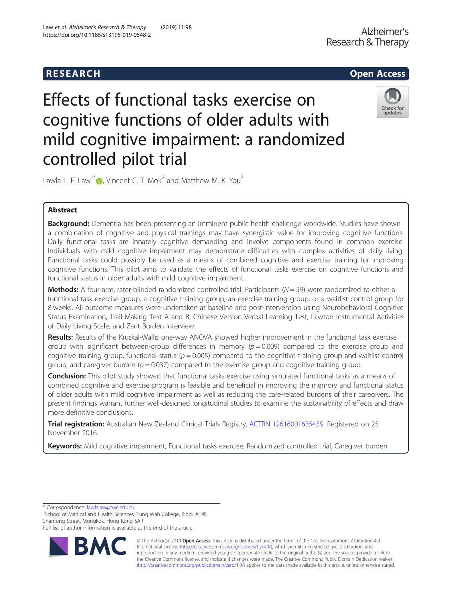

# Effects of functional tasks exercise on cognitive functions of older adults with mild cognitive impairment: a randomized controlled pilot trial



Lawla L. F. Law<sup>1[\\*](http://orcid.org/0000-0003-4993-259X)</sup>  $\bullet$ , Vincent C. T. Mok<sup>2</sup> and Matthew M. K. Yau<sup>3</sup>

### Abstract

Background: Dementia has been presenting an imminent public health challenge worldwide. Studies have shown a combination of cognitive and physical trainings may have synergistic value for improving cognitive functions. Daily functional tasks are innately cognitive demanding and involve components found in common exercise. Individuals with mild cognitive impairment may demonstrate difficulties with complex activities of daily living. Functional tasks could possibly be used as a means of combined cognitive and exercise training for improving cognitive functions. This pilot aims to validate the effects of functional tasks exercise on cognitive functions and functional status in older adults with mild cognitive impairment.

Methods: A four-arm, rater-blinded randomized controlled trial. Participants ( $N = 59$ ) were randomized to either a functional task exercise group, a cognitive training group, an exercise training group, or a waitlist control group for 8 weeks. All outcome measures were undertaken at baseline and post-intervention using Neurobehavioral Cognitive Status Examination, Trail Making Test A and B, Chinese Version Verbal Learning Test, Lawton Instrumental Activities of Daily Living Scale, and Zarit Burden Interview.

Results: Results of the Kruskal-Wallis one-way ANOVA showed higher improvement in the functional task exercise group with significant between-group differences in memory  $(p = 0.009)$  compared to the exercise group and cognitive training group, functional status ( $p = 0.005$ ) compared to the cognitive training group and waitlist control group, and caregiver burden ( $p = 0.037$ ) compared to the exercise group and cognitive training group.

Conclusion: This pilot study showed that functional tasks exercise using simulated functional tasks as a means of combined cognitive and exercise program is feasible and beneficial in improving the memory and functional status of older adults with mild cognitive impairment as well as reducing the care-related burdens of their caregivers. The present findings warrant further well-designed longitudinal studies to examine the sustainability of effects and draw more definitive conclusions.

Trial registration: Australian New Zealand Clinical Trials Registry, [ACTRN 12616001635459](http://www.ANZCTR.org.au/ACTRN12616001635459.aspx). Registered on 25 November 2016.

Keywords: Mild cognitive impairment, Functional tasks exercise, Randomized controlled trial, Caregiver burden

\* Correspondence: [lawlalaw@twc.edu.hk](mailto:lawlalaw@twc.edu.hk) <sup>1</sup>

<sup>1</sup>School of Medical and Health Sciences, Tung Wah College, Block A, 98 Shantung Street, Mongkok, Hong Kong SAR

Full list of author information is available at the end of the article



© The Author(s). 2019 **Open Access** This article is distributed under the terms of the Creative Commons Attribution 4.0 International License [\(http://creativecommons.org/licenses/by/4.0/](http://creativecommons.org/licenses/by/4.0/)), which permits unrestricted use, distribution, and reproduction in any medium, provided you give appropriate credit to the original author(s) and the source, provide a link to the Creative Commons license, and indicate if changes were made. The Creative Commons Public Domain Dedication waiver [\(http://creativecommons.org/publicdomain/zero/1.0/](http://creativecommons.org/publicdomain/zero/1.0/)) applies to the data made available in this article, unless otherwise stated.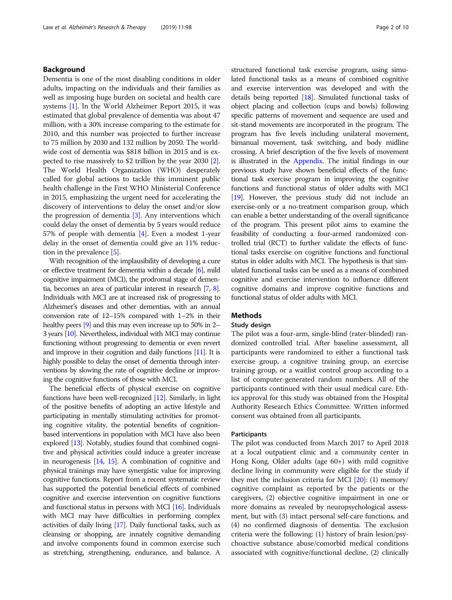### Background

Dementia is one of the most disabling conditions in older adults, impacting on the individuals and their families as well as imposing huge burden on societal and health care systems [\[1](#page-8-0)]. In the World Alzheimer Report 2015, it was estimated that global prevalence of dementia was about 47 million, with a 30% increase comparing to the estimate for 2010, and this number was projected to further increase to 75 million by 2030 and 132 million by 2050. The worldwide cost of dementia was \$818 billion in 2015 and is expected to rise massively to \$2 trillion by the year 2030 [[2](#page-8-0)]. The World Health Organization (WHO) desperately called for global actions to tackle this imminent public health challenge in the First WHO Ministerial Conference in 2015, emphasizing the urgent need for accelerating the discovery of interventions to delay the onset and/or slow the progression of dementia [\[3](#page-8-0)]. Any interventions which could delay the onset of dementia by 5 years would reduce 57% of people with dementia [[4\]](#page-8-0). Even a modest 1-year delay in the onset of dementia could give an 11% reduction in the prevalence [\[5\]](#page-8-0).

With recognition of the implausibility of developing a cure or effective treatment for dementia within a decade [[6](#page-8-0)], mild cognitive impairment (MCI), the prodromal stage of dementia, becomes an area of particular interest in research [\[7,](#page-8-0) [8\]](#page-8-0). Individuals with MCI are at increased risk of progressing to Alzheimer's diseases and other dementias, with an annual conversion rate of 12–15% compared with 1–2% in their healthy peers [[9](#page-8-0)] and this may even increase up to 50% in 2– 3 years [\[10](#page-8-0)]. Nevertheless, individual with MCI may continue functioning without progressing to dementia or even revert and improve in their cognition and daily functions [\[11\]](#page-8-0). It is highly possible to delay the onset of dementia through interventions by slowing the rate of cognitive decline or improving the cognitive functions of those with MCI.

The beneficial effects of physical exercise on cognitive functions have been well-recognized [\[12](#page-8-0)]. Similarly, in light of the positive benefits of adopting an active lifestyle and participating in mentally stimulating activities for promoting cognitive vitality, the potential benefits of cognitionbased interventions in population with MCI have also been explored [[13\]](#page-8-0). Notably, studies found that combined cognitive and physical activities could induce a greater increase in neurogenesis [\[14,](#page-8-0) [15](#page-9-0)]. A combination of cognitive and physical trainings may have synergistic value for improving cognitive functions. Report from a recent systematic review has supported the potential beneficial effects of combined cognitive and exercise intervention on cognitive functions and functional status in persons with MCI [\[16\]](#page-9-0). Individuals with MCI may have difficulties in performing complex activities of daily living [\[17\]](#page-9-0). Daily functional tasks, such as cleansing or shopping, are innately cognitive demanding and involve components found in common exercise such as stretching, strengthening, endurance, and balance. A structured functional task exercise program, using simulated functional tasks as a means of combined cognitive and exercise intervention was developed and with the details being reported [[18](#page-9-0)]. Simulated functional tasks of object placing and collection (cups and bowls) following specific patterns of movement and sequence are used and sit-stand movements are incorporated in the program. The program has five levels including unilateral movement, bimanual movement, task switching, and body midline crossing. A brief description of the five levels of movement is illustrated in the [Appendix.](#page-8-0) The initial findings in our previous study have shown beneficial effects of the functional task exercise program in improving the cognitive functions and functional status of older adults with MCI [[19](#page-9-0)]. However, the previous study did not include an exercise-only or a no-treatment comparison group, which can enable a better understanding of the overall significance of the program. This present pilot aims to examine the feasibility of conducting a four-armed randomized controlled trial (RCT) to further validate the effects of functional tasks exercise on cognitive functions and functional status in older adults with MCI. The hypothesis is that simulated functional tasks can be used as a means of combined cognitive and exercise intervention to influence different cognitive domains and improve cognitive functions and functional status of older adults with MCI.

### Methods

#### Study design

The pilot was a four-arm, single-blind (rater-blinded) randomized controlled trial. After baseline assessment, all participants were randomized to either a functional task exercise group, a cognitive training group, an exercise training group, or a waitlist control group according to a list of computer-generated random numbers. All of the participants continued with their usual medical care. Ethics approval for this study was obtained from the Hospital Authority Research Ethics Committee. Written informed consent was obtained from all participants.

#### **Participants**

The pilot was conducted from March 2017 to April 2018 at a local outpatient clinic and a community center in Hong Kong. Older adults (age 60+) with mild cognitive decline living in community were eligible for the study if they met the inclusion criteria for MCI  $[20]$  $[20]$  $[20]$ : (1) memory/ cognitive complaint as reported by the patients or the caregivers, (2) objective cognitive impairment in one or more domains as revealed by neuropsychological assessment, but with (3) intact personal self-care functions, and (4) no confirmed diagnosis of dementia. The exclusion criteria were the following: (1) history of brain lesion/psychoactive substance abuse/comorbid medical conditions associated with cognitive/functional decline, (2) clinically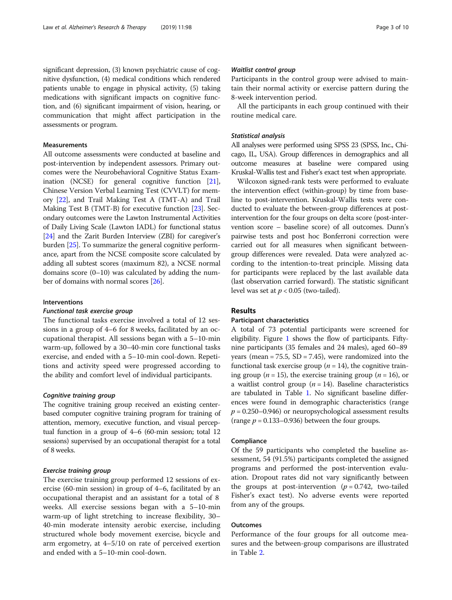significant depression, (3) known psychiatric cause of cognitive dysfunction, (4) medical conditions which rendered patients unable to engage in physical activity, (5) taking medications with significant impacts on cognitive function, and (6) significant impairment of vision, hearing, or communication that might affect participation in the assessments or program.

#### **Measurements**

All outcome assessments were conducted at baseline and post-intervention by independent assessors. Primary outcomes were the Neurobehavioral Cognitive Status Examination (NCSE) for general cognitive function [[21](#page-9-0)], Chinese Version Verbal Learning Test (CVVLT) for memory [\[22\]](#page-9-0), and Trail Making Test A (TMT-A) and Trail Making Test B (TMT-B) for executive function [\[23](#page-9-0)]. Secondary outcomes were the Lawton Instrumental Activities of Daily Living Scale (Lawton IADL) for functional status [[24](#page-9-0)] and the Zarit Burden Interview (ZBI) for caregiver's burden [\[25\]](#page-9-0). To summarize the general cognitive performance, apart from the NCSE composite score calculated by adding all subtest scores (maximum 82), a NCSE normal domains score (0–10) was calculated by adding the number of domains with normal scores [\[26](#page-9-0)].

#### Interventions

The functional tasks exercise involved a total of 12 sessions in a group of 4–6 for 8 weeks, facilitated by an occupational therapist. All sessions began with a 5–10-min warm-up, followed by a 30–40-min core functional tasks exercise, and ended with a 5–10-min cool-down. Repetitions and activity speed were progressed according to the ability and comfort level of individual participants.

The cognitive training group received an existing centerbased computer cognitive training program for training of attention, memory, executive function, and visual perceptual function in a group of 4–6 (60-min session; total 12 sessions) supervised by an occupational therapist for a total of 8 weeks.

The exercise training group performed 12 sessions of exercise (60-min session) in group of 4–6, facilitated by an occupational therapist and an assistant for a total of 8 weeks. All exercise sessions began with a 5–10-min warm-up of light stretching to increase flexibility, 30– 40-min moderate intensity aerobic exercise, including structured whole body movement exercise, bicycle and arm ergometry, at 4–5/10 on rate of perceived exertion and ended with a 5–10-min cool-down.

Participants in the control group were advised to maintain their normal activity or exercise pattern during the 8-week intervention period.

All the participants in each group continued with their routine medical care.

All analyses were performed using SPSS 23 (SPSS, Inc., Chicago, IL, USA). Group differences in demographics and all outcome measures at baseline were compared using Kruskal-Wallis test and Fisher's exact test when appropriate.

Wilcoxon signed-rank tests were performed to evaluate the intervention effect (within-group) by time from baseline to post-intervention. Kruskal-Wallis tests were conducted to evaluate the between-group differences at postintervention for the four groups on delta score (post-intervention score – baseline score) of all outcomes. Dunn's pairwise tests and post hoc Bonferroni correction were carried out for all measures when significant betweengroup differences were revealed. Data were analyzed according to the intention-to-treat principle. Missing data for participants were replaced by the last available data (last observation carried forward). The statistic significant level was set at  $p < 0.05$  (two-tailed).

#### Results

#### Participant characteristics

A total of 73 potential participants were screened for eligibility. Figure [1](#page-3-0) shows the flow of participants. Fiftynine participants (35 females and 24 males), aged 60–89 years (mean =  $75.5$ , SD =  $7.45$ ), were randomized into the functional task exercise group ( $n = 14$ ), the cognitive training group ( $n = 15$ ), the exercise training group ( $n = 16$ ), or a waitlist control group  $(n = 14)$ . Baseline characteristics are tabulated in Table [1.](#page-4-0) No significant baseline differences were found in demographic characteristics (range  $p = 0.250 - 0.946$  or neuropsychological assessment results (range  $p = 0.133 - 0.936$ ) between the four groups.

#### Compliance

Of the 59 participants who completed the baseline assessment, 54 (91.5%) participants completed the assigned programs and performed the post-intervention evaluation. Dropout rates did not vary significantly between the groups at post-intervention ( $p = 0.742$ , two-tailed Fisher's exact test). No adverse events were reported from any of the groups.

#### Outcomes

Performance of the four groups for all outcome measures and the between-group comparisons are illustrated in Table [2.](#page-5-0)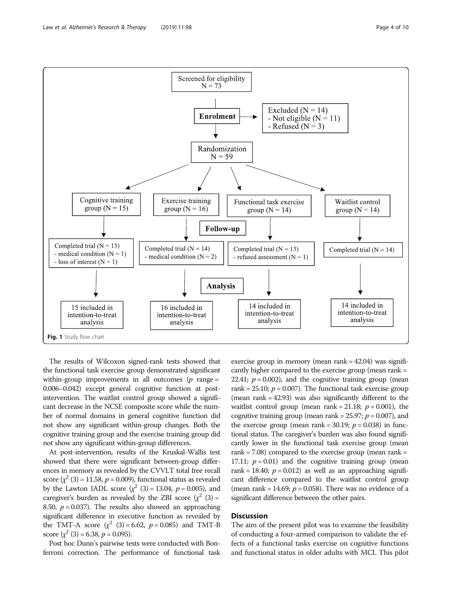<span id="page-3-0"></span>

The results of Wilcoxon signed-rank tests showed that the functional task exercise group demonstrated significant within-group improvements in all outcomes ( $p$  range = 0.006–0.042) except general cognitive function at postintervention. The waitlist control group showed a significant decrease in the NCSE composite score while the number of normal domains in general cognitive function did not show any significant within-group changes. Both the cognitive training group and the exercise training group did not show any significant within-group differences.

At post-intervention, results of the Kruskal-Wallis test showed that there were significant between-group differences in memory as revealed by the CVVLT total free recall score  $(\chi^2(3) = 11.58, p = 0.009)$ , functional status as revealed by the Lawton IADL score  $(\chi^2)(3) = 13.04$ ,  $p = 0.005$ ), and caregiver's burden as revealed by the ZBI score  $(\chi^2)(3)$  = 8.50,  $p = 0.037$ ). The results also showed an approaching significant difference in executive function as revealed by the TMT-A score  $(\chi^2 \text{ (3)} = 6.62, p = 0.085)$  and TMT-B score  $(\chi^2(3) = 6.38, p = 0.095)$ .

Post hoc Dunn's pairwise tests were conducted with Bonferroni correction. The performance of functional task exercise group in memory (mean rank = 42.04) was significantly higher compared to the exercise group (mean rank = 22.41;  $p = 0.002$ ), and the cognitive training group (mean rank = 25.10;  $p = 0.007$ ). The functional task exercise group (mean rank = 42.93) was also significantly different to the waitlist control group (mean rank = 21.18;  $p = 0.001$ ), the cognitive training group (mean rank =  $25.97$ ;  $p = 0.007$ ), and the exercise group (mean rank =  $30.19$ ;  $p = 0.038$ ) in functional status. The caregiver's burden was also found significantly lower in the functional task exercise group (mean rank = 7.08) compared to the exercise group (mean rank = 17.11;  $p = 0.01$ ) and the cognitive training group (mean rank = 18.40;  $p = 0.012$ ) as well as an approaching significant difference compared to the waitlist control group (mean rank = 14.69;  $p = 0.058$ ). There was no evidence of a significant difference between the other pairs.

### **Discussion**

The aim of the present pilot was to examine the feasibility of conducting a four-armed comparison to validate the effects of a functional tasks exercise on cognitive functions and functional status in older adults with MCI. This pilot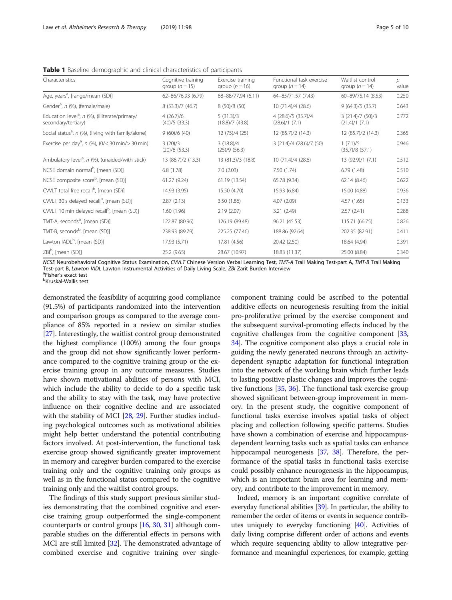<span id="page-4-0"></span>Table 1 Baseline demographic and clinical characteristics of participants

| Characteristics                                                                   | Cognitive training<br>group $(n = 15)$ | Exercise training<br>group $(n = 16)$ | Functional task exercise<br>group $(n = 14)$ | Waitlist control<br>group $(n = 14)$  | р<br>value |
|-----------------------------------------------------------------------------------|----------------------------------------|---------------------------------------|----------------------------------------------|---------------------------------------|------------|
| Age, years <sup>a</sup> , [range/mean (SD)]                                       | 62-86/76.93 (6.79)                     | 68-88/77.94 (6.11)                    | 64-85/71.57 (7.43)                           | 60-89/75.14 (8.53)                    | 0.250      |
| Gender <sup>a</sup> , n (%), (female/male)                                        | 8(53.3)/7(46.7)                        | 8(50)/8(50)                           | 10 (71.4)/4 (28.6)                           | 9(64.3)/5(35.7)                       | 0.643      |
| Education level <sup>a</sup> , n (%), (illiterate/primary/<br>secondary/tertiary) | 4(26.7)/6<br>$(40)/5$ $(33.3)$         | 5(31.3)/3<br>$(18.8)/7$ $(43.8)$      | 4 (28.6)/5 (35.7)/4<br>$(28.6)/1$ $(7.1)$    | 3(21.4)/7(50)/3<br>$(21.4)/1$ $(7.1)$ | 0.772      |
| Social status <sup>a</sup> , n (%), (living with family/alone)                    | 9(60)/6(40)                            | 12 (75)/4 (25)                        | 12 (85.7)/2 (14.3)                           | 12 (85.7)/2 (14.3)                    | 0.365      |
| Exercise per day <sup>a</sup> , n (%), (0/< 30 min/> 30 min)                      | 3(20)/3<br>$(20)/8$ $(53.3)$           | 3(18.8)/4<br>$(25)/9$ (56.3)          | 3(21.4)/4(28.6)/7(50)                        | 1(7.1)/5<br>$(35.7)/8$ (57.1)         | 0.946      |
| Ambulatory level <sup>a</sup> , $n$ (%), (unaided/with stick)                     | 13 (86.7)/2 (13.3)                     | 13 (81.3)/3 (18.8)                    | 10 (71.4)/4 (28.6)                           | 13 (92.9)/1 (7.1)                     | 0.512      |
| NCSE domain normal <sup>b</sup> , [mean (SD)]                                     | 6.8(1.78)                              | 7.0(2.03)                             | 7.50 (1.74)                                  | 6.79(1.48)                            | 0.510      |
| NCSE composite score <sup>b</sup> , [mean (SD)]                                   | 61.27 (9.24)                           | 61.19 (13.54)                         | 65.78 (9.34)                                 | 62.14 (8.46)                          | 0.622      |
| CVVLT total free recall <sup>b</sup> , [mean (SD)]                                | 14.93 (3.95)                           | 15.50 (4.70)                          | 15.93 (6.84)                                 | 15.00 (4.88)                          | 0.936      |
| CVVLT 30 s delayed recall <sup>b</sup> , [mean (SD)]                              | 2.87(2.13)                             | 3.50 (1.86)                           | 4.07 (2.09)                                  | 4.57(1.65)                            | 0.133      |
| CWLT 10 min delayed recall <sup>b</sup> , [mean (SD)]                             | 1.60(1.96)                             | 2.19(2.07)                            | 3.21(2.49)                                   | 2.57(2.41)                            | 0.288      |
| TMT-A, seconds <sup>b</sup> , [mean (SD)]                                         | 122.87 (80.96)                         | 126.19 (89.48)                        | 96.21 (45.53)                                | 115.71 (66.75)                        | 0.826      |
| TMT-B, seconds <sup>b</sup> , [mean (SD)]                                         | 238.93 (89.79)                         | 225.25 (77.46)                        | 188.86 (92.64)                               | 202.35 (82.91)                        | 0.411      |
| Lawton IADL <sup>b</sup> , [mean (SD)]                                            | 17.93 (5.71)                           | 17.81 (4.56)                          | 20.42 (2.50)                                 | 18.64 (4.94)                          | 0.391      |
| $ZBl^b$ , [mean (SD)]                                                             | 25.2 (9.65)                            | 28.67 (10.97)                         | 18.83 (11.37)                                | 25.00 (8.84)                          | 0.340      |

NCSE Neurobehavioral Cognitive Status Examination, CVVLT Chinese Version Verbal Learning Test, TMT-A Trail Making Test-part A, TMT-B Trail Making Test-part B, Lawton IADL Lawton Instrumental Activities of Daily Living Scale, ZBI Zarit Burden Interview <sup>a</sup>Fisher's exact test

Kruskal-Wallis test

demonstrated the feasibility of acquiring good compliance (91.5%) of participants randomized into the intervention and comparison groups as compared to the average compliance of 85% reported in a review on similar studies [[27](#page-9-0)]. Interestingly, the waitlist control group demonstrated the highest compliance (100%) among the four groups and the group did not show significantly lower performance compared to the cognitive training group or the exercise training group in any outcome measures. Studies have shown motivational abilities of persons with MCI, which include the ability to decide to do a specific task and the ability to stay with the task, may have protective influence on their cognitive decline and are associated with the stability of MCI [\[28,](#page-9-0) [29](#page-9-0)]. Further studies including psychological outcomes such as motivational abilities might help better understand the potential contributing factors involved. At post-intervention, the functional task exercise group showed significantly greater improvement in memory and caregiver burden compared to the exercise training only and the cognitive training only groups as well as in the functional status compared to the cognitive training only and the waitlist control groups.

The findings of this study support previous similar studies demonstrating that the combined cognitive and exercise training group outperformed the single-component counterparts or control groups [[16](#page-9-0), [30,](#page-9-0) [31\]](#page-9-0) although comparable studies on the differential effects in persons with MCI are still limited [\[32\]](#page-9-0). The demonstrated advantage of combined exercise and cognitive training over single-

component training could be ascribed to the potential additive effects on neurogenesis resulting from the initial pro-proliferative primed by the exercise component and the subsequent survival-promoting effects induced by the cognitive challenges from the cognitive component [[33](#page-9-0), [34](#page-9-0)]. The cognitive component also plays a crucial role in guiding the newly generated neurons through an activitydependent synaptic adaptation for functional integration into the network of the working brain which further leads to lasting positive plastic changes and improves the cognitive functions [[35](#page-9-0), [36](#page-9-0)]. The functional task exercise group showed significant between-group improvement in memory. In the present study, the cognitive component of functional tasks exercise involves spatial tasks of object placing and collection following specific patterns. Studies have shown a combination of exercise and hippocampusdependent learning tasks such as spatial tasks can enhance hippocampal neurogenesis [\[37,](#page-9-0) [38\]](#page-9-0). Therefore, the performance of the spatial tasks in functional tasks exercise could possibly enhance neurogenesis in the hippocampus, which is an important brain area for learning and memory, and contribute to the improvement in memory.

Indeed, memory is an important cognitive correlate of everyday functional abilities [[39](#page-9-0)]. In particular, the ability to remember the order of items or events in sequence contributes uniquely to everyday functioning [\[40](#page-9-0)]. Activities of daily living comprise different order of actions and events which require sequencing ability to allow integrative performance and meaningful experiences, for example, getting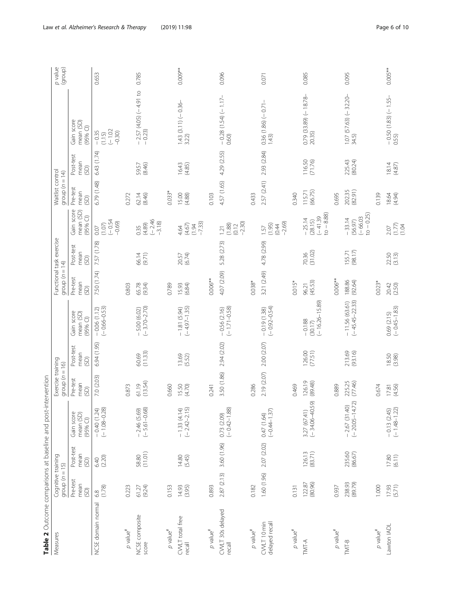<span id="page-5-0"></span>

| I did to the 2 Duration is at Danison to the direction of the 2 Duration of the 2 Duration of the 2 Duration of the 2 Duration of the 2 Duration of the 2 Duration of the 2 Duration of the 2 Duration of the 2 Duration of th |                                        |                           |                                         | IL EI VEI IUVII                       |                           |                                                 |                          |                           |                                                  |                                      |                           |                                                  |                    |
|--------------------------------------------------------------------------------------------------------------------------------------------------------------------------------------------------------------------------------|----------------------------------------|---------------------------|-----------------------------------------|---------------------------------------|---------------------------|-------------------------------------------------|--------------------------|---------------------------|--------------------------------------------------|--------------------------------------|---------------------------|--------------------------------------------------|--------------------|
| Measures                                                                                                                                                                                                                       | Cognitive training<br>group $(n = 15)$ |                           |                                         | Exercise training<br>group $(n = 16)$ |                           |                                                 | group $(n = 14)$         | Functional task exercise  |                                                  | Waitlist control<br>group $(n = 14)$ |                           |                                                  | p value<br>(group) |
|                                                                                                                                                                                                                                | Pre-test<br>mean<br>(SD)               | Post-test<br>mean<br>(SD) | Gain score<br>mean (SD)<br>$(95%$ CI)   | Pre-test<br>mean<br>(5D)              | Post-test<br>mean<br>(SD) | Gain score<br>mean (SD)<br>$(95%$ Cl            | Pre-test<br>mean<br>(SD) | Post-test<br>mean<br>(SD) | Gain score<br>mean (SD)<br>$(95%$ CI)            | Pre-test<br>mean<br>(5D)             | Post-test<br>mean<br>(SD) | Gain score<br>mean (SD)<br>$(95%$ Cl)            |                    |
| NCSE domain normal                                                                                                                                                                                                             | (1.78)<br>$6.8\,$                      | 6.40<br>(2.20)            | $-0.40(1.24)$<br>$(-1.08 - 0.28)$       | 7.0 (2.03)                            | 6.94 (1.95)               | $(-0.66 - 0.53)$<br>$-0.06(1.12)$               | 7.50 (1.74)              | 7.57 (1.78)               | $(-0.54)$<br>$-0.69$<br>$(1.07)$<br>0.07         | 6.79 (1.48)                          | 6.43 (1.74)               | $(-1.02)$<br>$-0.35$<br>(1.15)<br>$-0.30$        | 0.653              |
| p value <sup>#</sup>                                                                                                                                                                                                           | 0.223                                  |                           |                                         | 0.873                                 |                           |                                                 | 0.803                    |                           |                                                  | 0.272                                |                           |                                                  |                    |
| NCSE composite<br>score                                                                                                                                                                                                        | (9.24)<br>61.27                        | (11.01)<br>58.80          | $-2.46(5.69)$<br>$(-5.61 - 0.68)$       | (13.54)<br>61.19                      | (11.33)<br>60.69          | $(-3.70 - 2.70)$<br>5.00 (6.02)<br>$\mathbf{I}$ | 65.78<br>(9.34)          | 66.14<br>(9.71)           | $(-2.46)$<br>$-3.18$<br>(4.89)<br>0.35           | 62.14<br>(8.46)                      | (846)<br>59.57            | $-2.57(4.05)(-4.91$ to<br>- 0.23)                | 0.785              |
| $\rho$ value $^{\text{\#}}$                                                                                                                                                                                                    | 0.153                                  |                           |                                         | 0.660                                 |                           |                                                 | 0.789                    |                           |                                                  | $0.033*$                             |                           |                                                  |                    |
| CVVLT total free<br>recall                                                                                                                                                                                                     | 14.93<br>(3.95)                        | 14.80<br>(5.45)           | $-1.33(4.14)$<br>$(-2.42-2.15)$         | 15.50<br>(4.70)                       | 13.69<br>(5.52)           | $(-4.97 - 1.35)$<br>$-1.81(5.94)$               | (6.84)<br>15.93          | (6.74)<br>20.57           | $(1.94$<br>$-7.33)$<br>4.64                      | 15.00<br>(4.88)                      | 16.43<br>(4.85)           | $1.43(3.11)(-0.36-$<br>3.22)                     | $0.009**$          |
| p value <sup>#</sup>                                                                                                                                                                                                           | 0.893                                  |                           |                                         | 0.241                                 |                           |                                                 | $0.006**$                |                           |                                                  | 0.103                                |                           |                                                  |                    |
| CVVLT 30s delayed<br>recall                                                                                                                                                                                                    | 2.87 (2.13)                            | 3.60 (1.96)               | $0.73$ (2.09)<br>$(-0.42 - 1.88)$       | 3.50 (1.86)                           | 2.94 (2.02)               | $(-1.71 - 0.58)$<br>$-0.56(2.16)$               | 4.07 (2.09)              | 5.28 (2.73)               | $-2.30$<br>$(1.88)$<br>$(0.12)$<br>1.21          | 4.57 (1.65)                          | 4.29 (2.55)               | $-0.28$ (1.54) (- 1.17-<br>0.60)                 | 0.096              |
| p value <sup>#</sup>                                                                                                                                                                                                           | 0.182                                  |                           |                                         | 0.286                                 |                           |                                                 | $0.038*$                 |                           |                                                  | 0.433                                |                           |                                                  |                    |
| CVVLT 10 min<br>delayed recall                                                                                                                                                                                                 | 1.60 (1.96)                            | 2.07 (2.02)               | $(-0.44 - 1.37)$<br>0.47 (1.64)         | 2.19 (2.07)                           | 2.00 (2.07)               | $(-0.92 - 0.54)$<br>$-0.19(1.38)$               | 3.21 (2.49)              | 4.78 (2.99)               | $-2.69$<br>$1.57$<br>(1.95)<br>(0.44)            | 2.57 (2.41)                          | 2.93 (2.84)               | $0.36(1.86) (-0.71 -$<br>1.43)                   | 0.071              |
| p value <sup>#</sup>                                                                                                                                                                                                           | 0.131                                  |                           |                                         | 0.469                                 |                           |                                                 | $0.015*$                 |                           |                                                  | 0.340                                |                           |                                                  |                    |
| $TM\bar{+}A$                                                                                                                                                                                                                   | 12287<br>(80.96)                       | 126.13<br>(83.71)         | $(-34.06 - 40.59)$<br>3.27 (67.41)      | 126.19<br>(89.48)                     | 126.00<br>(77.51)         | $(-16.26 - 15.89)$<br>$-0.188$<br>(30.17)       | (45.53)<br>96.21         | (31.02)<br>70.36          | $10 - 8.88$<br>$(-41.39)$<br>$-25.14$<br>(28.15) | (66.75)<br>115.71                    | 116.50<br>(71.76)         | $\frac{0.79}{20.35}$ (33.89) (- 18.78-<br>20.35) | 0.085              |
| p value <sup>#</sup>                                                                                                                                                                                                           | 0.937                                  |                           |                                         | 0.889                                 |                           |                                                 | $0.006**$                |                           |                                                  | 0.695                                |                           |                                                  |                    |
| $TMT-B$                                                                                                                                                                                                                        | 238.93<br>(89.79)                      | 235.60<br>(86.67)         | $-2.67$ (31.40)<br>( $-20.05 - 14.72$ ) | 225.25<br>(77.46)                     | 213.69                    | $(-45.45 - 22.33)$<br>$-11.56(63.61)$           | 188.86<br>(92.64)        | 155.71<br>(98.17)         | $to -0.25$<br>$(-66.03)$<br>$-33.14$<br>(56.97)  | 202.35<br>(82.91)                    | 225.43<br>(80.24)         | $1.07$ (57.63) (- 32.20-<br>34.5)                | 0.095              |
| p value <sup>#</sup>                                                                                                                                                                                                           | 1.000                                  |                           |                                         | 0.674                                 |                           |                                                 | $0.023*$                 |                           |                                                  | 0.139                                |                           |                                                  |                    |
| Lawton IADL                                                                                                                                                                                                                    | (5.71)                                 | $\frac{17.80}{(6.11)}$    | $(-1.48 - 1.22)$<br>$-0.13(2.45)$       | (4.56)<br>17.81                       | 18.50<br>(3.98)           | $(-0.45 - 1.83)$<br>0.69(2.15)                  | 20.42                    | 22.50<br>(3.13)           | $207$<br>$(1.7)$<br>$(1.04)$                     | 18.64<br>4.94)                       | $18.14$<br>(4.87)         | $-0.50(1.83)(-1.55-0.55)$                        | $0.005**$          |

at baseline and post-intervention Table 2 Outcome comparisons at baseline and post-intervention Ŕ j Table 2 Outc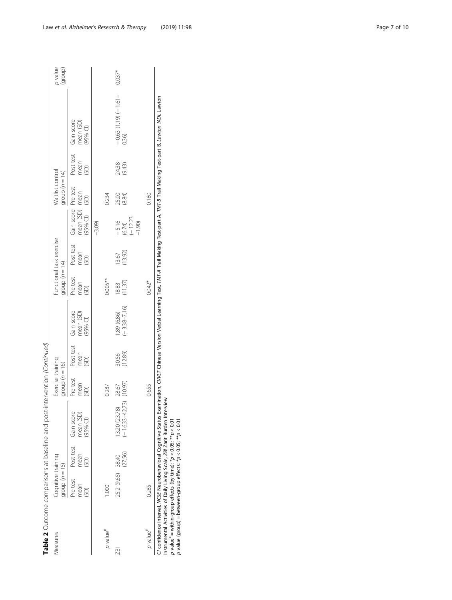| Table 2 Outcome comparisons at baseline and post-intervention (Continued) |                                        |              |                                               |                                       |                  |                                               |                          |                          |                                                        |                                      |                 |                                                                |                    |
|---------------------------------------------------------------------------|----------------------------------------|--------------|-----------------------------------------------|---------------------------------------|------------------|-----------------------------------------------|--------------------------|--------------------------|--------------------------------------------------------|--------------------------------------|-----------------|----------------------------------------------------------------|--------------------|
| Measures                                                                  | Cognitive training<br>group $(n = 15)$ |              |                                               | Exercise training<br>group $(n = 16)$ |                  |                                               | $(1 - u)$ dholo          | Functional task exercise |                                                        | group $(n = 14)$<br>Waitlist control |                 |                                                                | p value<br>(group) |
|                                                                           | Pre-test<br>mean<br>g                  | mean<br>(5D) | Post-test Gain score<br>mean (SD)<br>(95% CI) | Pre-test<br>mean<br>(5D)              | mean<br>(SD)     | Post-test Gain score<br>mean (SD)<br>(95% Cl) | Pre-test<br>mean<br>(SD) | mean<br>(SD)             | Post-test Gain score Pre-test<br>mean (SD)<br>(95% Cl) | mean<br>(SD)                         | mean<br>(SD)    | Post-test Gain score<br>mean (SD)<br>(95% Cl)                  |                    |
|                                                                           |                                        |              |                                               |                                       |                  |                                               |                          |                          | $-3.09$                                                |                                      |                 |                                                                |                    |
| p value <sup>#</sup>                                                      | $rac{1}{2}$                            |              |                                               | 0.287                                 |                  |                                               | $0.005**$                |                          |                                                        | 0.234                                |                 |                                                                |                    |
| <b>ZBI</b>                                                                | 25.2 (9.65) 38.40                      | (27.56)      | $(-16.33 - 42.73)$<br>13.20 (23.78)           | (10.97)<br>28.67                      | 30.56<br>(12.89) | $1.89(6.86)$<br>$(-3.38 - 7.16)$              | $\frac{18.83}{11.37}$    | $(13.67)$<br>$(13.92)$   | $-5.16$<br>(6.74)<br>(- 12.23<br>-1.90)                | 25.00<br>(8.84)                      | 24.38<br>(9.43) | $\begin{array}{l} -0.63 \ (1.19) \ (-1.61 - 0.36) \end{array}$ | $0.037*$           |
| p value <sup>#</sup>                                                      | 0.285                                  |              |                                               | 0.655                                 |                  |                                               | $0.042*$                 |                          |                                                        | 0.180                                |                 |                                                                |                    |

CI confidence interval, MCSE Neurobehavioral Cognitive Status Examination, CM/I Chinese Version Verbal Learning Test, TMT-A Trail Making Test-part A, TMT-B Trail Making Test-part B, *Lowton IADL* Lawton<br>Instrumental Acti CI confidence interval, NCSE Neurobehavioral Cognitive Status Examination, CVVLT Chinese Version Verbal Learning Test, TMT-A Trail Making Test-part A, TMT-B Trail Making Test-part B, Lawton IADL Lawton

Instrumental Activities of Daily Living Scale, ZBI Zarit Burden Interview

 $p$  value<sup>#</sup> = within-group effects (by time):  $*p < 0.05;$   $*p < 0.01$ 

 $p$  value (group) = between-group effects:  $*p < 0.05;$   $**p < 0.01$ 

Law et al. Alzheimer's Research & Therapy (2019) 11:98 Page 7 of 10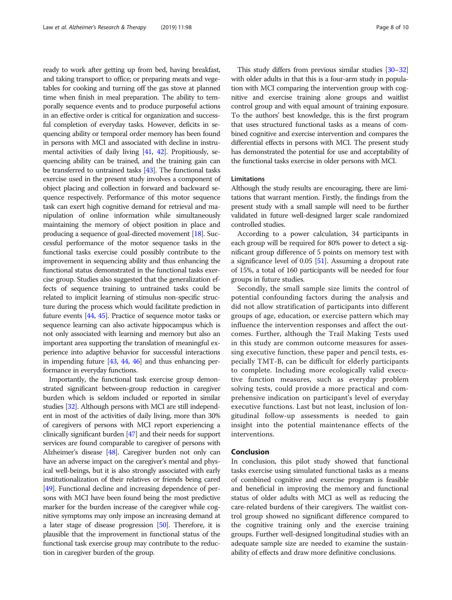ready to work after getting up from bed, having breakfast, and taking transport to office; or preparing meats and vegetables for cooking and turning off the gas stove at planned time when finish in meal preparation. The ability to temporally sequence events and to produce purposeful actions in an effective order is critical for organization and successful completion of everyday tasks. However, deficits in sequencing ability or temporal order memory has been found in persons with MCI and associated with decline in instrumental activities of daily living [[41](#page-9-0), [42](#page-9-0)]. Propitiously, sequencing ability can be trained, and the training gain can be transferred to untrained tasks [\[43\]](#page-9-0). The functional tasks exercise used in the present study involves a component of object placing and collection in forward and backward sequence respectively. Performance of this motor sequence task can exert high cognitive demand for retrieval and manipulation of online information while simultaneously maintaining the memory of object position in place and producing a sequence of goal-directed movement [[18](#page-9-0)]. Successful performance of the motor sequence tasks in the functional tasks exercise could possibly contribute to the improvement in sequencing ability and thus enhancing the functional status demonstrated in the functional tasks exercise group. Studies also suggested that the generalization effects of sequence training to untrained tasks could be related to implicit learning of stimulus non-specific structure during the process which would facilitate prediction in future events [[44](#page-9-0), [45\]](#page-9-0). Practice of sequence motor tasks or sequence learning can also activate hippocampus which is not only associated with learning and memory but also an important area supporting the translation of meaningful experience into adaptive behavior for successful interactions in impending future [\[43,](#page-9-0) [44](#page-9-0), [46](#page-9-0)] and thus enhancing performance in everyday functions.

Importantly, the functional task exercise group demonstrated significant between-group reduction in caregiver burden which is seldom included or reported in similar studies [\[32\]](#page-9-0). Although persons with MCI are still independent in most of the activities of daily living, more than 30% of caregivers of persons with MCI report experiencing a clinically significant burden [\[47](#page-9-0)] and their needs for support services are found comparable to caregiver of persons with Alzheimer's disease [[48](#page-9-0)]. Caregiver burden not only can have an adverse impact on the caregiver's mental and physical well-beings, but it is also strongly associated with early institutionalization of their relatives or friends being cared [[49](#page-9-0)]. Functional decline and increasing dependence of persons with MCI have been found being the most predictive marker for the burden increase of the caregiver while cognitive symptoms may only impose an increasing demand at a later stage of disease progression [[50](#page-9-0)]. Therefore, it is plausible that the improvement in functional status of the functional task exercise group may contribute to the reduction in caregiver burden of the group.

This study differs from previous similar studies [[30](#page-9-0)–[32](#page-9-0)] with older adults in that this is a four-arm study in population with MCI comparing the intervention group with cognitive and exercise training alone groups and waitlist control group and with equal amount of training exposure. To the authors' best knowledge, this is the first program that uses structured functional tasks as a means of combined cognitive and exercise intervention and compares the differential effects in persons with MCI. The present study has demonstrated the potential for use and acceptability of the functional tasks exercise in older persons with MCI.

#### Limitations

Although the study results are encouraging, there are limitations that warrant mention. Firstly, the findings from the present study with a small sample will need to be further validated in future well-designed larger scale randomized controlled studies.

According to a power calculation, 34 participants in each group will be required for 80% power to detect a significant group difference of 5 points on memory test with a significance level of 0.05 [\[51\]](#page-9-0). Assuming a dropout rate of 15%, a total of 160 participants will be needed for four groups in future studies.

Secondly, the small sample size limits the control of potential confounding factors during the analysis and did not allow stratification of participants into different groups of age, education, or exercise pattern which may influence the intervention responses and affect the outcomes. Further, although the Trail Making Tests used in this study are common outcome measures for assessing executive function, these paper and pencil tests, especially TMT-B, can be difficult for elderly participants to complete. Including more ecologically valid executive function measures, such as everyday problem solving tests, could provide a more practical and comprehensive indication on participant's level of everyday executive functions. Last but not least, inclusion of longitudinal follow-up assessments is needed to gain insight into the potential maintenance effects of the interventions.

#### Conclusion

In conclusion, this pilot study showed that functional tasks exercise using simulated functional tasks as a means of combined cognitive and exercise program is feasible and beneficial in improving the memory and functional status of older adults with MCI as well as reducing the care-related burdens of their caregivers. The waitlist control group showed no significant difference compared to the cognitive training only and the exercise training groups. Further well-designed longitudinal studies with an adequate sample size are needed to examine the sustainability of effects and draw more definitive conclusions.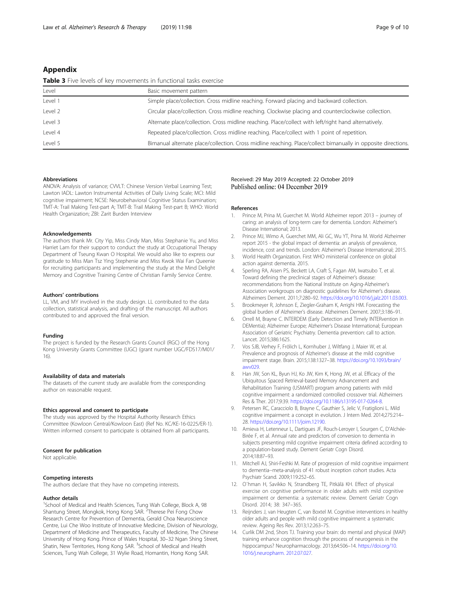#### <span id="page-8-0"></span>Appendix

**Table 3** Five levels of key movements in functional tasks exercise

| Level   | Basic movement pattern                                                                                        |
|---------|---------------------------------------------------------------------------------------------------------------|
| Level 1 | Simple place/collection. Cross midline reaching. Forward placing and backward collection.                     |
| Level 2 | Circular place/collection. Cross midline reaching. Clockwise placing and counterclockwise collection.         |
| Level 3 | Alternate place/collection. Cross midline reaching. Place/collect with left/right hand alternatively.         |
| Level 4 | Repeated place/collection. Cross midline reaching. Place/collect with 1 point of repetition.                  |
| Level 5 | Bimanual alternate place/collection. Cross midline reaching. Place/collect bimanually in opposite directions. |

#### Abbreviations

ANOVA: Analysis of variance; CVVLT: Chinese Version Verbal Learning Test; Lawton IADL: Lawton Instrumental Activities of Daily Living Scale; MCI: Mild cognitive impairment; NCSE: Neurobehavioral Cognitive Status Examination; TMT-A: Trail Making Test-part A; TMT-B: Trail Making Test-part B; WHO: World Health Organization; ZBI: Zarit Burden Interview

#### Acknowledgements

The authors thank Mr. City Yip, Miss Cindy Man, Miss Stephanie Yu, and Miss Harriet Lam for their support to conduct the study at Occupational Therapy Department of Tseung Kwan O Hospital. We would also like to express our gratitude to Miss Man Tsz Ying Stephenie and Miss Kwok Wai Fan Queenie for recruiting participants and implementing the study at the Mind Delight Memory and Cognitive Training Centre of Christian Family Service Centre.

#### Authors' contributions

LL, VM, and MY involved in the study design. LL contributed to the data collection, statistical analysis, and drafting of the manuscript. All authors contributed to and approved the final version.

#### Funding

The project is funded by the Research Grants Council (RGC) of the Hong Kong University Grants Committee (UGC) (grant number UGC/FDS17/M01/ 16).

#### Availability of data and materials

The datasets of the current study are available from the corresponding author on reasonable request.

#### Ethics approval and consent to participate

The study was approved by the Hospital Authority Research Ethics Committee (Kowloon Central/Kowloon East) (Ref No. KC/KE-16-0225/ER-1). Written informed consent to participate is obtained from all participants.

#### Consent for publication

Not applicable.

#### Competing interests

The authors declare that they have no competing interests.

#### Author details

<sup>1</sup>School of Medical and Health Sciences, Tung Wah College, Block A, 98 Shantung Street, Mongkok, Hong Kong SAR. <sup>2</sup>Therese Pei Fong Chow Research Centre for Prevention of Dementia, Gerald Choa Neuroscience Centre, Lui Che Woo Institute of Innovative Medicine, Division of Neurology, Department of Medicine and Therapeutics, Faculty of Medicine, The Chinese University of Hong Kong. Prince of Wales Hospital, 30–32 Ngan Shing Street, Shatin, New Territories, Hong Kong SAR. <sup>3</sup>School of Medical and Health Sciences, Tung Wah College, 31 Wylie Road, Homantin, Hong Kong SAR.

## Received: 29 May 2019 Accepted: 22 October 2019

#### References

- Prince M, Prina M, Guerchet M. World Alzheimer report 2013 journey of caring: an analysis of long-term care for dementia. London: Alzheimer's Disease International; 2013.
- 2. Prince MJ, Wimo A, Guerchet MM, Ali GC, Wu YT, Prina M. World Alzheimer report 2015 - the global impact of dementia: an analysis of prevalence, incidence, cost and trends. London: Alzheimer's Disease International; 2015.
- 3. World Health Organization. First WHO ministerial conference on global action against dementia. 2015.
- 4. Sperling RA, Aisen PS, Beckett LA, Craft S, Fagan AM, Iwatsubo T, et al. Toward defining the preclinical stages of Alzheimer's disease: recommendations from the National Institute on Aging-Alzheimer's Association workgroups on diagnostic guidelines for Alzheimer's disease. Alzheimers Dement. 2011;7:280–92. [https://doi.org/10.1016/j.jalz.2011.03.003.](https://doi.org/10.1016/j.jalz.2011.03.003)
- 5. Brookmeyer R, Johnson E, Ziegler-Graham K, Arrighi HM. Forecasting the global burden of Alzheimer's disease. Alzheimers Dement. 2007;3:186–91.
- 6. Orrell M, Brayne C. INTERDEM (Early Detection and Timely INTERvention in DEMentia); Alzheimer Europe; Alzheimer's Disease International; European Association of Geriatric Psychiatry. Dementia prevention: call to action. Lancet. 2015;386:1625.
- 7. Vos SJB, Verhey F, Frölich L, Kornhuber J, Wiltfang J, Maier W, et al. Prevalence and prognosis of Alzheimer's disease at the mild cognitive impairment stage. Brain. 2015;138:1327–38. [https://doi.org/10.1093/brain/](https://doi.org/10.1093/brain/awv029) [awv029](https://doi.org/10.1093/brain/awv029).
- 8. Han JW, Son KL, Byun HJ, Ko JW, Kim K, Hong JW, et al. Efficacy of the Ubiquitous Spaced Retrieval-based Memory Advancement and Rehabilitation Training (USMART) program among patients with mild cognitive impairment: a randomized controlled crossover trial. Alzheimers Res & Ther. 2017;9:39. <https://doi.org/10.1186/s13195-017-0264-8>.
- Petersen RC, Caracciolo B, Brayne C, Gauthier S, Jelic V, Fratiglioni L. Mild cognitive impairment: a concept in evolution. J Intern Med. 2014;275:214– 28. [https://doi.org/10.1111/joim.12190.](https://doi.org/10.1111/joim.12190)
- 10. Amieva H, Letenneur L, Dartigues JF, Rouch-Leroyer I, Sourgen C, D'Alchée-Birée F, et al. Annual rate and predictors of conversion to dementia in subjects presenting mild cognitive impairment criteria defined according to a population-based study. Dement Geriatr Cogn Disord. 2014;18:87–93.
- 11. Mitchell AJ, Shiri-Feshki M. Rate of progression of mild cognitive impairment to dementia--meta-analysis of 41 robust inception cohort studies. Acta Psychiatr Scand. 2009;119:252–65.
- 12. O¨hman H, Savikko N, Strandberg TE, Pitkälä KH. Effect of physical exercise on cognitive performance in older adults with mild cognitive impairment or dementia: a systematic review. Dement Geriatr Cogn Disord. 2014; 38: 347–365.
- 13. Reijnders J, van Heugten C, van Boxtel M. Cognitive interventions in healthy older adults and people with mild cognitive impairment: a systematic review. Ageing Res Rev. 2013;12:263–75.
- 14. Curlik DM 2nd, Shors TJ. Training your brain: do mental and physical (MAP) training enhance cognition through the process of neurogenesis in the hippocampus? Neuropharmacology. 2013;64:506–14. [https://doi.org/10.](https://doi.org/10.1016/j.neuropharm. 2012.07.027) [1016/j.neuropharm. 2012.07.027](https://doi.org/10.1016/j.neuropharm. 2012.07.027).